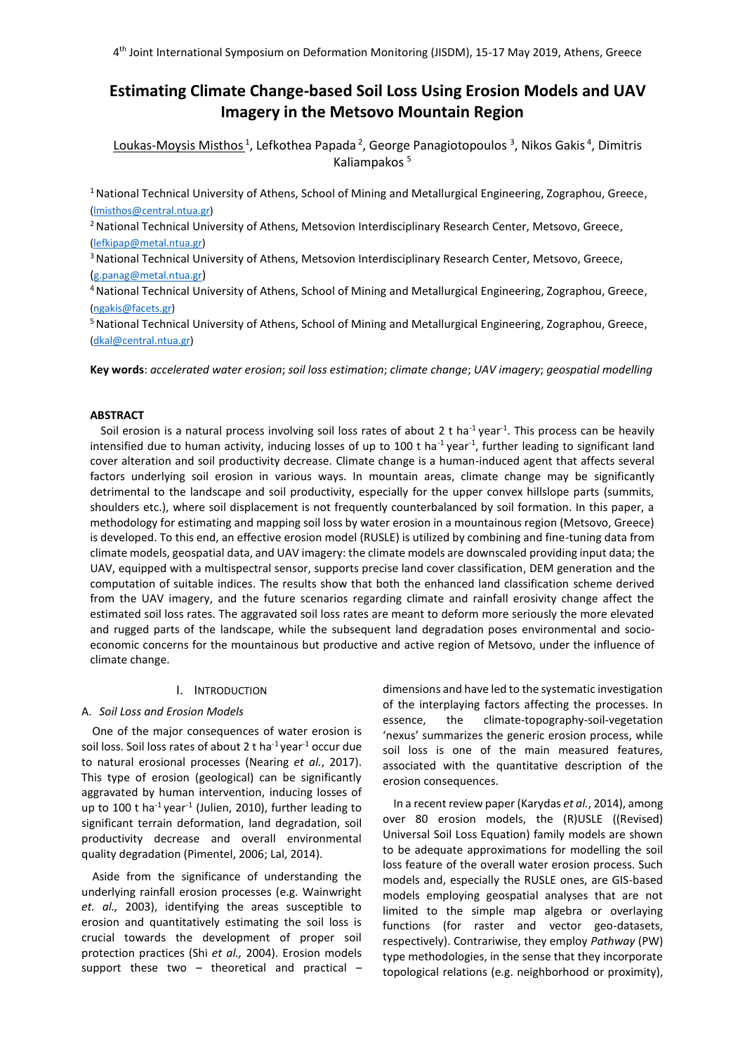# **Estimating Climate Change-based Soil Loss Using Erosion Models and UAV Imagery in the Metsovo Mountain Region**

Loukas-Moysis Misthos<sup>1</sup>, Lefkothea Papada<sup>2</sup>, George Panagiotopoulos <sup>3</sup>, Nikos Gakis<sup>4</sup>, Dimitris Kaliampakos<sup>5</sup>

<sup>1</sup> National Technical University of Athens, School of Mining and Metallurgical Engineering, Zographou, Greece, [\(lmisthos@central.ntua.gr\)](mailto:lmisthos@central.ntua.gr)

<sup>2</sup> National Technical University of Athens, Metsovion Interdisciplinary Research Center, Metsovo, Greece, [\(lefkipap@metal.ntua.gr\)](mailto:lefkipap@metal.ntua.gr)

<sup>3</sup> National Technical University of Athens, Metsovion Interdisciplinary Research Center, Metsovo, Greece, ([g.panag@metal.ntua.gr](mailto:g.panag@metal.ntua.gr))

<sup>4</sup>National Technical University of Athens, School of Mining and Metallurgical Engineering, Zographou, Greece, (ngakis@facets.gr)

<sup>5</sup> National Technical University of Athens, School of Mining and Metallurgical Engineering, Zographou, Greece, [\(dkal@central.ntua.gr\)](mailto:dkal@central.ntua.gr)

**Key words**: *accelerated water erosion*; *soil loss estimation*; *climate change*; *UAV imagery*; *geospatial modelling*

# **ABSTRACT**

Soil erosion is a natural process involving soil loss rates of about 2 t ha<sup>-1</sup> year<sup>-1</sup>. This process can be heavily intensified due to human activity, inducing losses of up to 100 t ha<sup>-1</sup> year<sup>-1</sup>, further leading to significant land cover alteration and soil productivity decrease. Climate change is a human-induced agent that affects several factors underlying soil erosion in various ways. In mountain areas, climate change may be significantly detrimental to the landscape and soil productivity, especially for the upper convex hillslope parts (summits, shoulders etc.), where soil displacement is not frequently counterbalanced by soil formation. In this paper, a methodology for estimating and mapping soil loss by water erosion in a mountainous region (Metsovo, Greece) is developed. To this end, an effective erosion model (RUSLE) is utilized by combining and fine-tuning data from climate models, geospatial data, and UAV imagery: the climate models are downscaled providing input data; the UAV, equipped with a multispectral sensor, supports precise land cover classification, DEM generation and the computation of suitable indices. The results show that both the enhanced land classification scheme derived from the UAV imagery, and the future scenarios regarding climate and rainfall erosivity change affect the estimated soil loss rates. The aggravated soil loss rates are meant to deform more seriously the more elevated and rugged parts of the landscape, while the subsequent land degradation poses environmental and socioeconomic concerns for the mountainous but productive and active region of Metsovo, under the influence of climate change.

### I. INTRODUCTION

## A. *Soil Loss and Erosion Models*

One of the major consequences of water erosion is soil loss. Soil loss rates of about 2 t ha<sup>-1</sup> year<sup>-1</sup> occur due to natural erosional processes (Nearing *et al.*, 2017). This type of erosion (geological) can be significantly aggravated by human intervention, inducing losses of up to 100 t ha<sup>-1</sup> year<sup>-1</sup> (Julien, 2010), further leading to significant terrain deformation, land degradation, soil productivity decrease and overall environmental quality degradation (Pimentel, 2006; Lal, 2014).

Aside from the significance of understanding the underlying rainfall erosion processes (e.g. Wainwright *et. al.,* 2003), identifying the areas susceptible to erosion and quantitatively estimating the soil loss is crucial towards the development of proper soil protection practices (Shi *et al.,* 2004). Erosion models support these two – theoretical and practical – dimensions and have led to the systematic investigation of the interplaying factors affecting the processes. In essence, the climate-topography-soil-vegetation 'nexus' summarizes the generic erosion process, while soil loss is one of the main measured features, associated with the quantitative description of the erosion consequences.

In a recent review paper (Karydas *et al.*, 2014), among over 80 erosion models, the (R)USLE ((Revised) Universal Soil Loss Equation) family models are shown to be adequate approximations for modelling the soil loss feature of the overall water erosion process. Such models and, especially the RUSLE ones, are GIS-based models employing geospatial analyses that are not limited to the simple map algebra or overlaying functions (for raster and vector geo-datasets, respectively). Contrariwise, they employ *Pathway* (PW) type methodologies, in the sense that they incorporate topological relations (e.g. neighborhood or proximity),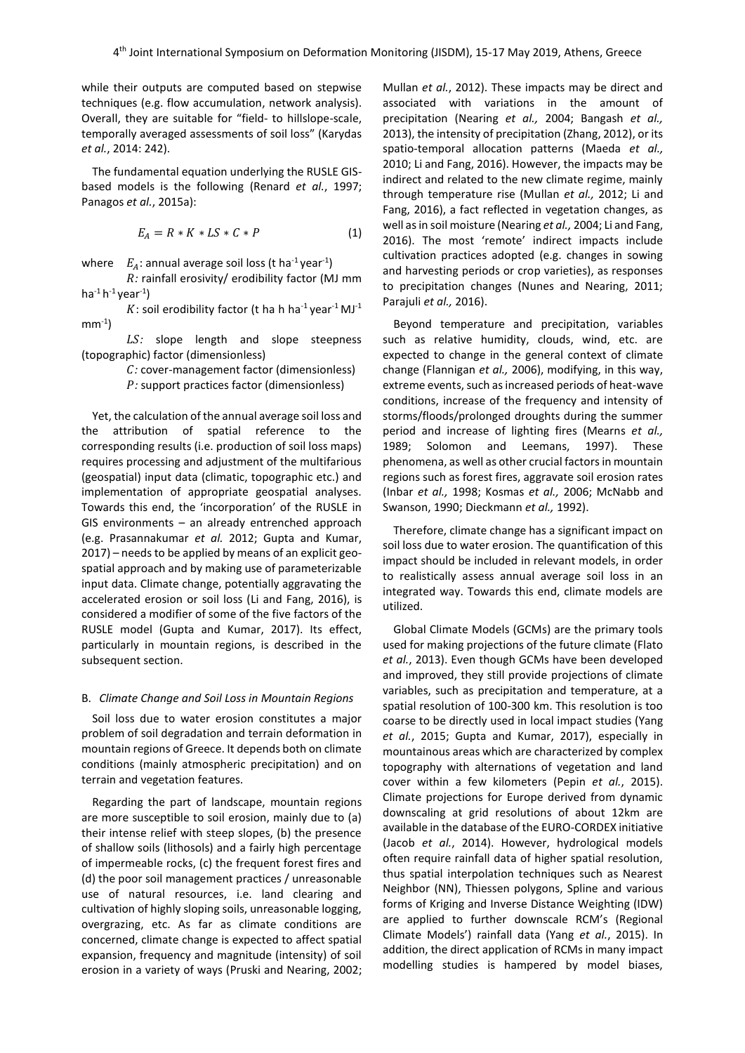while their outputs are computed based on stepwise techniques (e.g. flow accumulation, network analysis). Overall, they are suitable for "field- to hillslope-scale, temporally averaged assessments of soil loss" (Karydas *et al.*, 2014: 242).

The fundamental equation underlying the RUSLE GISbased models is the following (Renard *et al.*, 1997; Panagos *et al.*, 2015a):

$$
E_A = R * K * LS * C * P \tag{1}
$$

where  $E_A$ : annual average soil loss (t ha<sup>-1</sup> year<sup>-1</sup>)

*R*: rainfall erosivity/ erodibility factor (MJ mm ha $^{-1}$  h $^{-1}$  year $^{-1}$ )

K: soil erodibility factor (t ha h ha<sup>-1</sup> year<sup>-1</sup> MJ<sup>-1</sup>  $mm<sup>-1</sup>$ )

LS: slope length and slope steepness (topographic) factor (dimensionless)

> *:* cover-management factor (dimensionless) *P*: support practices factor (dimensionless)

Yet, the calculation of the annual average soil loss and the attribution of spatial reference to the corresponding results (i.e. production of soil loss maps) requires processing and adjustment of the multifarious (geospatial) input data (climatic, topographic etc.) and implementation of appropriate geospatial analyses. Towards this end, the 'incorporation' of the RUSLE in GIS environments – an already entrenched approach (e.g. Prasannakumar *et al.* 2012; Gupta and Kumar, 2017) – needs to be applied by means of an explicit geospatial approach and by making use of parameterizable input data. Climate change, potentially aggravating the accelerated erosion or soil loss (Li and Fang, 2016), is considered a modifier of some of the five factors of the RUSLE model (Gupta and Kumar, 2017). Its effect, particularly in mountain regions, is described in the subsequent section.

#### B. *Climate Change and Soil Loss in Mountain Regions*

Soil loss due to water erosion constitutes a major problem of soil degradation and terrain deformation in mountain regions of Greece. It depends both on climate conditions (mainly atmospheric precipitation) and on terrain and vegetation features.

Regarding the part of landscape, mountain regions are more susceptible to soil erosion, mainly due to (a) their intense relief with steep slopes, (b) the presence of shallow soils (lithosols) and a fairly high percentage of impermeable rocks, (c) the frequent forest fires and (d) the poor soil management practices / unreasonable use of natural resources, i.e. land clearing and cultivation of highly sloping soils, unreasonable logging, overgrazing, etc. As far as climate conditions are concerned, climate change is expected to affect spatial expansion, frequency and magnitude (intensity) of soil erosion in a variety of ways (Pruski and Nearing, 2002;

Mullan *et al.*, 2012). These impacts may be direct and associated with variations in the amount of precipitation (Nearing *et al.,* 2004; Bangash *et al.,* 2013), the intensity of precipitation (Zhang, 2012), or its spatio-temporal allocation patterns (Maeda *et al.,* 2010; Li and Fang, 2016). However, the impacts may be indirect and related to the new climate regime, mainly through temperature rise (Mullan *et al.,* 2012; Li and Fang, 2016), a fact reflected in vegetation changes, as well as in soil moisture (Nearing *et al.,* 2004; Li and Fang, 2016). The most 'remote' indirect impacts include cultivation practices adopted (e.g. changes in sowing and harvesting periods or crop varieties), as responses to precipitation changes (Nunes and Nearing, 2011; Parajuli *et al.,* 2016).

Beyond temperature and precipitation, variables such as relative humidity, clouds, wind, etc. are expected to change in the general context of climate change (Flannigan *et al.,* 2006), modifying, in this way, extreme events, such as increased periods of heat-wave conditions, increase of the frequency and intensity of storms/floods/prolonged droughts during the summer period and increase of lighting fires (Mearns *et al.,* 1989; Solomon and Leemans, 1997). These phenomena, as well as other crucial factors in mountain regions such as forest fires, aggravate soil erosion rates (Inbar *et al.,* 1998; Kosmas *et al.,* 2006; McNabb and Swanson, 1990; Dieckmann *et al.,* 1992).

Therefore, climate change has a significant impact on soil loss due to water erosion. The quantification of this impact should be included in relevant models, in order to realistically assess annual average soil loss in an integrated way. Towards this end, climate models are utilized.

Global Climate Models (GCMs) are the primary tools used for making projections of the future climate (Flato *et al.*, 2013). Even though GCMs have been developed and improved, they still provide projections of climate variables, such as precipitation and temperature, at a spatial resolution of 100-300 km. This resolution is too coarse to be directly used in local impact studies (Yang *et al.*, 2015; Gupta and Kumar, 2017), especially in mountainous areas which are characterized by complex topography with alternations of vegetation and land cover within a few kilometers (Pepin *et al.*, 2015). Climate projections for Europe derived from dynamic downscaling at grid resolutions of about 12km are available in the database of the EURO-CORDEX initiative (Jacob *et al.*, 2014). However, hydrological models often require rainfall data of higher spatial resolution, thus spatial interpolation techniques such as Nearest Neighbor (NN), Thiessen polygons, Spline and various forms of Kriging and Inverse Distance Weighting (IDW) are applied to further downscale RCM's (Regional Climate Models') rainfall data (Yang *et al.*, 2015). In addition, the direct application of RCMs in many impact modelling studies is hampered by model biases,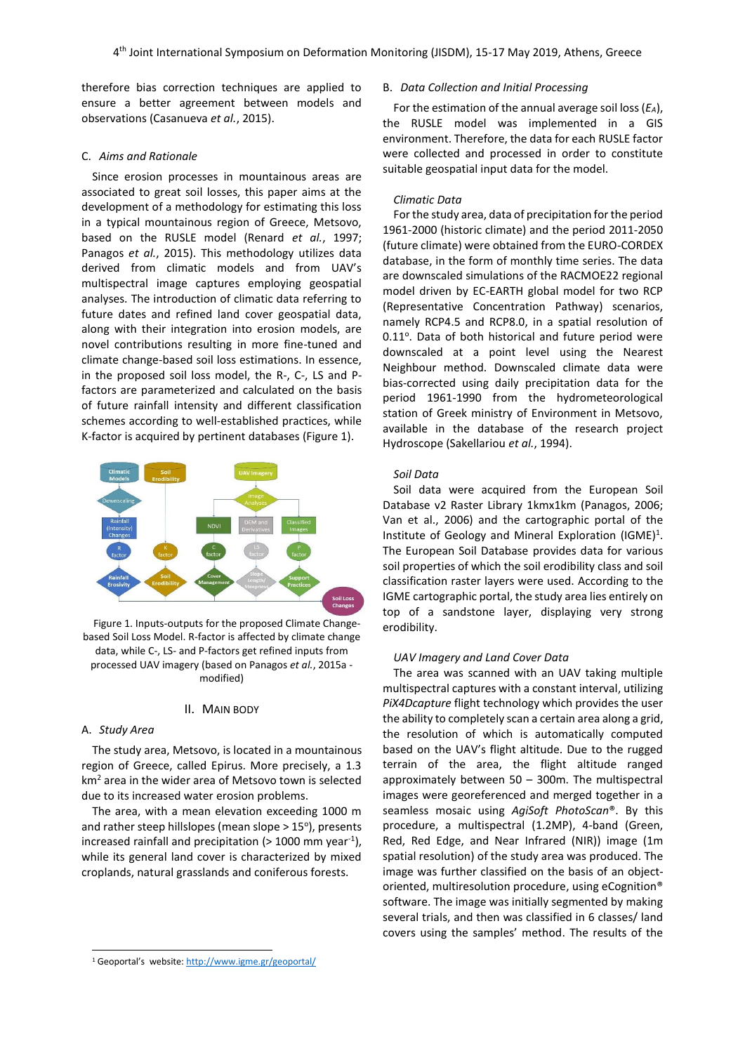therefore bias correction techniques are applied to ensure a better agreement between models and observations (Casanueva *et al.*, 2015).

## C. *Aims and Rationale*

Since erosion processes in mountainous areas are associated to great soil losses, this paper aims at the development of a methodology for estimating this loss in a typical mountainous region of Greece, Metsovo, based on the RUSLE model (Renard *et al.*, 1997; Panagos *et al.*, 2015). This methodology utilizes data derived from climatic models and from UAV's multispectral image captures employing geospatial analyses. The introduction of climatic data referring to future dates and refined land cover geospatial data, along with their integration into erosion models, are novel contributions resulting in more fine-tuned and climate change-based soil loss estimations. In essence, in the proposed soil loss model, the R-, C-, LS and Pfactors are parameterized and calculated on the basis of future rainfall intensity and different classification schemes according to well-established practices, while K-factor is acquired by pertinent databases (Figure 1).



Figure 1. Inputs-outputs for the proposed Climate Changebased Soil Loss Model. R-factor is affected by climate change data, while C-, LS- and P-factors get refined inputs from processed UAV imagery (based on Panagos *et al.*, 2015a modified)

#### II. MAIN BODY

## A. *Study Area*

l

The study area, Metsovo, is located in a mountainous region of Greece, called Epirus. More precisely, a 1.3 km<sup>2</sup> area in the wider area of Metsovo town is selected due to its increased water erosion problems.

The area, with a mean elevation exceeding 1000 m and rather steep hillslopes (mean slope  $> 15^{\circ}$ ), presents increased rainfall and precipitation (> 1000 mm year<sup>-1</sup>), while its general land cover is characterized by mixed croplands, natural grasslands and coniferous forests.

#### B. *Data Collection and Initial Processing*

For the estimation of the annual average soil loss (*EA*), the RUSLE model was implemented in a GIS environment. Therefore, the data for each RUSLE factor were collected and processed in order to constitute suitable geospatial input data for the model.

## *Climatic Data*

For the study area, data of precipitation for the period 1961-2000 (historic climate) and the period 2011-2050 (future climate) were obtained from the EURO-CORDEX database, in the form of monthly time series. The data are downscaled simulations of the RACMOE22 regional model driven by EC-EARTH global model for two RCP (Representative Concentration Pathway) scenarios, namely RCP4.5 and RCP8.0, in a spatial resolution of 0.11°. Data of both historical and future period were downscaled at a point level using the Nearest Neighbour method. Downscaled climate data were bias-corrected using daily precipitation data for the period 1961-1990 from the hydrometeorological station of Greek ministry of Environment in Metsovo, available in the database of the research project Hydroscope (Sakellariou *et al.*, 1994).

## *Soil Data*

Soil data were acquired from the European Soil Database v2 Raster Library 1kmx1km (Panagos, 2006; Van et al., 2006) and the cartographic portal of the Institute of Geology and Mineral Exploration (IGME)<sup>1</sup>. The European Soil Database provides data for various soil properties of which the soil erodibility class and soil classification raster layers were used. According to the IGME cartographic portal, the study area lies entirely on top of a sandstone layer, displaying very strong erodibility.

#### *UAV Imagery and Land Cover Data*

The area was scanned with an UAV taking multiple multispectral captures with a constant interval, utilizing *PiX4Dcapture* flight technology which provides the user the ability to completely scan a certain area along a grid, the resolution of which is automatically computed based on the UAV's flight altitude. Due to the rugged terrain of the area, the flight altitude ranged approximately between 50 – 300m. The multispectral images were georeferenced and merged together in a seamless mosaic using *AgiSoft PhotoScan*®. By this procedure, a multispectral (1.2MP), 4-band (Green, Red, Red Edge, and Near Infrared (NIR)) image (1m spatial resolution) of the study area was produced. The image was further classified on the basis of an objectoriented, multiresolution procedure, using eCognition® software. The image was initially segmented by making several trials, and then was classified in 6 classes/ land covers using the samples' method. The results of the

<sup>1</sup> Geoportal's website: <http://www.igme.gr/geoportal/>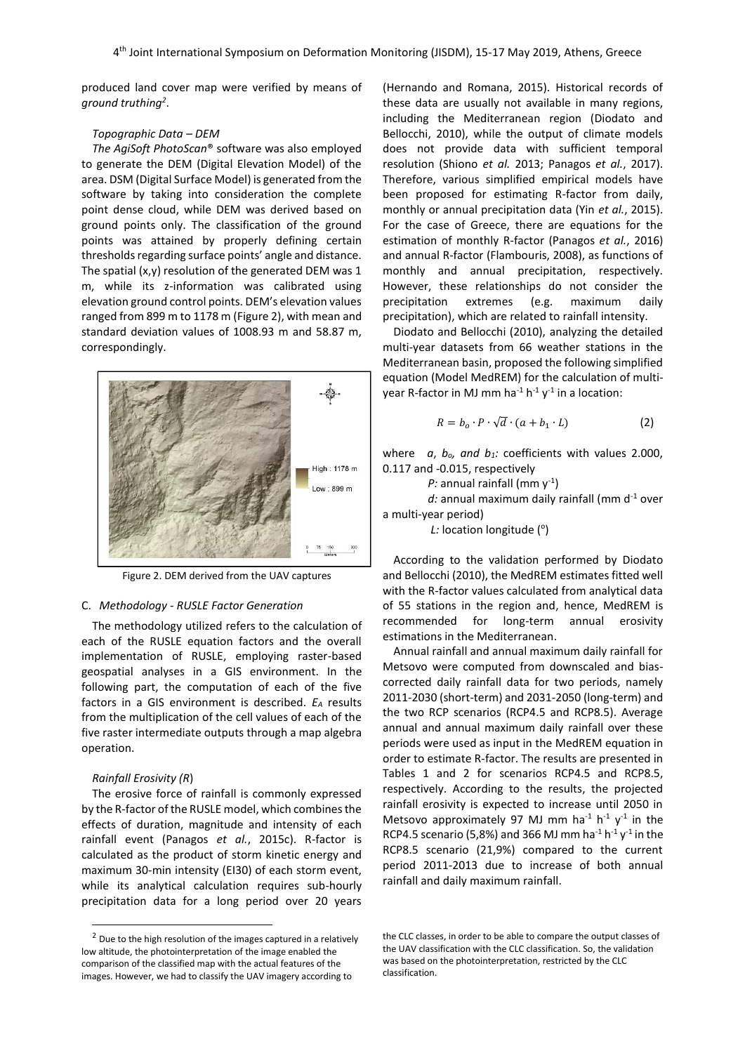produced land cover map were verified by means of *ground truthing<sup>2</sup>* .

### *Topographic Data – DEM*

*The AgiSoft PhotoScan*® software was also employed to generate the DEM (Digital Elevation Model) of the area. DSM (Digital Surface Model) is generated from the software by taking into consideration the complete point dense cloud, while DEM was derived based on ground points only. The classification of the ground points was attained by properly defining certain thresholds regarding surface points' angle and distance. The spatial (x,y) resolution of the generated DEM was 1 m, while its z-information was calibrated using elevation ground control points. DEM's elevation values ranged from 899 m to 1178 m (Figure 2), with mean and standard deviation values of 1008.93 m and 58.87 m, correspondingly.



Figure 2. DEM derived from the UAV captures

#### C. *Methodology - RUSLE Factor Generation*

The methodology utilized refers to the calculation of each of the RUSLE equation factors and the overall implementation of RUSLE, employing raster-based geospatial analyses in a GIS environment. In the following part, the computation of each of the five factors in a GIS environment is described. *E<sup>A</sup>* results from the multiplication of the cell values of each of the five raster intermediate outputs through a map algebra operation.

#### *Rainfall Erosivity (R*)

l

The erosive force of rainfall is commonly expressed by the R-factor of the RUSLE model, which combines the effects of duration, magnitude and intensity of each rainfall event (Panagos *et al.*, 2015c). R-factor is calculated as the product of storm kinetic energy and maximum 30-min intensity (EI30) of each storm event, while its analytical calculation requires sub-hourly precipitation data for a long period over 20 years

(Hernando and Romana, 2015). Historical records of these data are usually not available in many regions, including the Mediterranean region (Diodato and Bellocchi, 2010), while the output of climate models does not provide data with sufficient temporal resolution (Shiono *et al.* 2013; Panagos *et al.*, 2017). Therefore, various simplified empirical models have been proposed for estimating R-factor from daily, monthly or annual precipitation data (Yin *et al.*, 2015). For the case of Greece, there are equations for the estimation of monthly R-factor (Panagos *et al.*, 2016) and annual R-factor (Flambouris, 2008), as functions of monthly and annual precipitation, respectively. However, these relationships do not consider the precipitation extremes (e.g. maximum daily precipitation), which are related to rainfall intensity.

Diodato and Bellocchi (2010), analyzing the detailed multi-year datasets from 66 weather stations in the Mediterranean basin, proposed the following simplified equation (Model MedREM) for the calculation of multiyear R-factor in MJ mm ha<sup>-1</sup> h<sup>-1</sup> y<sup>-1</sup> in a location:

$$
R = b_o \cdot P \cdot \sqrt{d} \cdot (a + b_1 \cdot L) \tag{2}
$$

where *a*, *bo, and b1:* coefficients with values 2.000, 0.117 and -0.015, respectively

P: annual rainfall (mm y<sup>-1</sup>)

d: annual maximum daily rainfall (mm d<sup>-1</sup> over a multi-year period)

L: location longitude (°)

According to the validation performed by Diodato and Bellocchi (2010), the MedREM estimates fitted well with the R-factor values calculated from analytical data of 55 stations in the region and, hence, MedREM is recommended for long-term annual erosivity estimations in the Mediterranean.

Annual rainfall and annual maximum daily rainfall for Metsovo were computed from downscaled and biascorrected daily rainfall data for two periods, namely 2011-2030 (short-term) and 2031-2050 (long-term) and the two RCP scenarios (RCP4.5 and RCP8.5). Average annual and annual maximum daily rainfall over these periods were used as input in the MedREM equation in order to estimate R-factor. The results are presented in Tables 1 and 2 for scenarios RCP4.5 and RCP8.5, respectively. According to the results, the projected rainfall erosivity is expected to increase until 2050 in Metsovo approximately 97 MJ mm ha<sup>-1</sup> h<sup>-1</sup> y<sup>-1</sup> in the RCP4.5 scenario (5,8%) and 366 MJ mm ha<sup>-1</sup> h<sup>-1</sup> y<sup>-1</sup> in the RCP8.5 scenario (21,9%) compared to the current period 2011-2013 due to increase of both annual rainfall and daily maximum rainfall.

 $2$  Due to the high resolution of the images captured in a relatively low altitude, the photointerpretation of the image enabled the comparison of the classified map with the actual features of the images. However, we had to classify the UAV imagery according to

the CLC classes, in order to be able to compare the output classes of the UAV classification with the CLC classification. So, the validation was based on the photointerpretation, restricted by the CLC classification.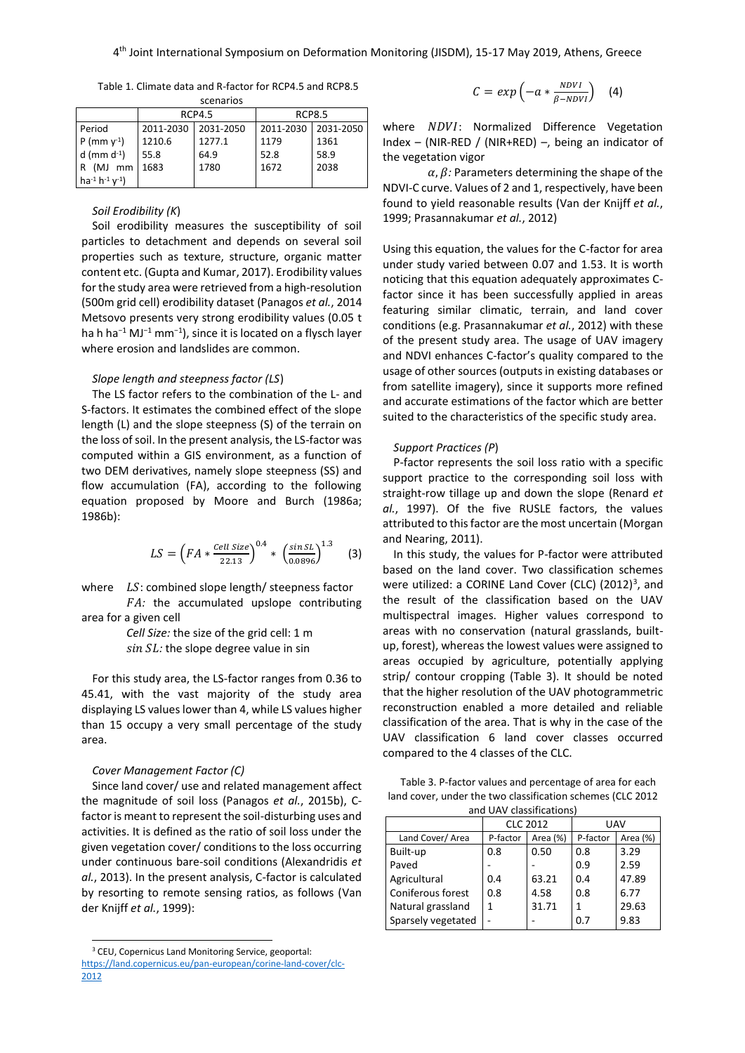| Table 1. Climate data and R-factor for RCP4.5 and RCP8.5 |           |  |
|----------------------------------------------------------|-----------|--|
|                                                          | scenarios |  |

|                                                     | <b>RCP4.5</b>       |        | <b>RCP8.5</b>       |      |
|-----------------------------------------------------|---------------------|--------|---------------------|------|
| Period                                              | 2011-2030 2031-2050 |        | 2011-2030 2031-2050 |      |
| $P$ (mm $y^{-1}$ )                                  | 1210.6              | 1277.1 | 1179                | 1361 |
| d (mm $d^{-1}$ )                                    | 55.8                | 64.9   | 52.8                | 58.9 |
| R (MJ mm                                            | 1683                | 1780   | 1672                | 2038 |
| ha <sup>-1</sup> h <sup>-1</sup> $V$ <sup>1</sup> ) |                     |        |                     |      |

# *Soil Erodibility (K*)

Soil erodibility measures the susceptibility of soil particles to detachment and depends on several soil properties such as texture, structure, organic matter content etc. (Gupta and Kumar, 2017). Erodibility values for the study area were retrieved from a high-resolution (500m grid cell) erodibility dataset (Panagos *et al.*, 2014 Metsovo presents very strong erodibility values (0.05 t ha h ha−1 MJ−1 mm−1), since it is located on a flysch layer where erosion and landslides are common.

## *Slope length and steepness factor (LS*)

The LS factor refers to the combination of the L- and S-factors. It estimates the combined effect of the slope length (L) and the slope steepness (S) of the terrain on the loss of soil. In the present analysis, the LS-factor was computed within a GIS environment, as a function of two DEM derivatives, namely slope steepness (SS) and flow accumulation (FA), according to the following equation proposed by Moore and Burch (1986a; 1986b):

$$
LS = \left( FA * \frac{Cell \, Size}{22.13} \right)^{0.4} * \left( \frac{\sin SL}{0.0896} \right)^{1.3} \tag{3}
$$

where  $LS$ : combined slope length/ steepness factor

FA: the accumulated upslope contributing area for a given cell

> *Cell Size:* the size of the grid cell: 1 m sin SL: the slope degree value in sin

For this study area, the LS-factor ranges from 0.36 to 45.41, with the vast majority of the study area displaying LS values lower than 4, while LS values higher than 15 occupy a very small percentage of the study area.

#### *Cover Management Factor (C)*

l

Since land cover/ use and related management affect the magnitude of soil loss (Panagos *et al.*, 2015b), Cfactor is meant to represent the soil-disturbing uses and activities. It is defined as the ratio of soil loss under the given vegetation cover/ conditions to the loss occurring under continuous bare-soil conditions (Alexandridis *et al.*, 2013). In the present analysis, C-factor is calculated by resorting to remote sensing ratios, as follows (Van der Knijff *et al.*, 1999):

$$
C = exp\left(-a * \frac{NDVI}{\beta - NDVI}\right) \quad (4)
$$

where NDVI: Normalized Difference Vegetation Index – (NIR-RED / (NIR+RED) –, being an indicator of the vegetation vigor

 $\alpha$ ,  $\beta$ : Parameters determining the shape of the NDVI-C curve. Values of 2 and 1, respectively, have been found to yield reasonable results (Van der Knijff *et al.*, 1999; Prasannakumar *et al.*, 2012)

Using this equation, the values for the C-factor for area under study varied between 0.07 and 1.53. It is worth noticing that this equation adequately approximates Cfactor since it has been successfully applied in areas featuring similar climatic, terrain, and land cover conditions (e.g. Prasannakumar *et al.*, 2012) with these of the present study area. The usage of UAV imagery and NDVI enhances C-factor's quality compared to the usage of other sources (outputs in existing databases or from satellite imagery), since it supports more refined and accurate estimations of the factor which are better suited to the characteristics of the specific study area.

#### *Support Practices (P*)

P-factor represents the soil loss ratio with a specific support practice to the corresponding soil loss with straight-row tillage up and down the slope (Renard *et al.*, 1997). Of the five RUSLE factors, the values attributed to this factor are the most uncertain (Morgan and Nearing, 2011).

In this study, the values for P-factor were attributed based on the land cover. Two classification schemes were utilized: a CORINE Land Cover (CLC) (2012)<sup>3</sup>, and the result of the classification based on the UAV multispectral images. Higher values correspond to areas with no conservation (natural grasslands, builtup, forest), whereas the lowest values were assigned to areas occupied by agriculture, potentially applying strip/ contour cropping (Table 3). It should be noted that the higher resolution of the UAV photogrammetric reconstruction enabled a more detailed and reliable classification of the area. That is why in the case of the UAV classification 6 land cover classes occurred compared to the 4 classes of the CLC.

Table 3. P-factor values and percentage of area for each land cover, under the two classification schemes (CLC 2012 and UAV classifications)

| anu UAV Classincationsi |                          |          |            |          |  |
|-------------------------|--------------------------|----------|------------|----------|--|
|                         | <b>CLC 2012</b>          |          | <b>UAV</b> |          |  |
| Land Cover/Area         | P-factor                 | Area (%) | P-factor   | Area (%) |  |
| Built-up                | 0.8                      | 0.50     | 0.8        | 3.29     |  |
| Paved                   |                          |          | 0.9        | 2.59     |  |
| Agricultural            | 0.4                      | 63.21    | 0.4        | 47.89    |  |
| Coniferous forest       | 0.8                      | 4.58     | 0.8        | 6.77     |  |
| Natural grassland       | 1                        | 31.71    | 1          | 29.63    |  |
| Sparsely vegetated      | $\overline{\phantom{0}}$ |          | 0.7        | 9.83     |  |

<sup>3</sup> CEU, Copernicus Land Monitoring Service, geoportal:

[https://land.copernicus.eu/pan-european/corine-land-cover/clc-](https://land.copernicus.eu/pan-european/corine-land-cover/clc-2012)[2012](https://land.copernicus.eu/pan-european/corine-land-cover/clc-2012)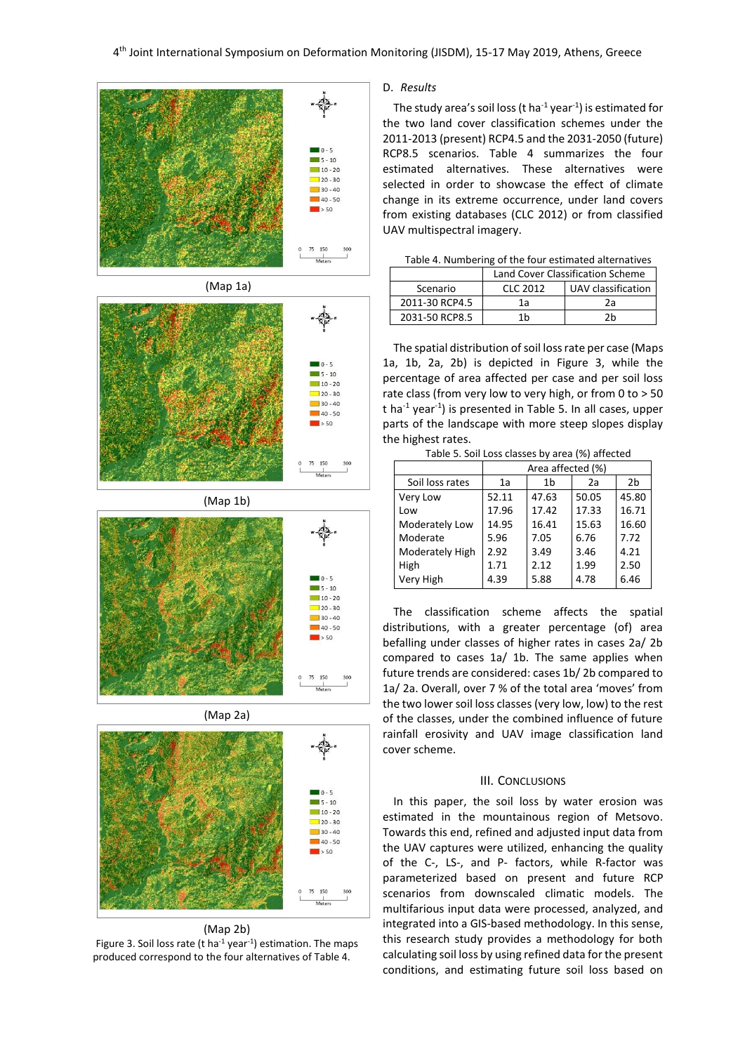



(Map 1b)







(Map 2b) Figure 3. Soil loss rate (t ha $^{-1}$  year $^{-1}$ ) estimation. The maps produced correspond to the four alternatives of Table 4.

#### D. *Results*

The study area's soil loss (t ha $^{-1}$  year $^{-1}$ ) is estimated for the two land cover classification schemes under the 2011-2013 (present) RCP4.5 and the 2031-2050 (future) RCP8.5 scenarios. Table 4 summarizes the four estimated alternatives. These alternatives were selected in order to showcase the effect of climate change in its extreme occurrence, under land covers from existing databases (CLC 2012) or from classified UAV multispectral imagery.

| Table 4. Numbering of the four estimated alternatives |
|-------------------------------------------------------|
| Land Cover Classification Scheme                      |

|                | Land Cover Classification Scheme |                    |  |
|----------------|----------------------------------|--------------------|--|
| Scenario       | C1C2012                          | UAV classification |  |
| 2011-30 RCP4.5 | 1a                               | 2a                 |  |
| 2031-50 RCP8.5 | 1h                               | 2h                 |  |

The spatial distribution of soil loss rate per case (Maps 1a, 1b, 2a, 2b) is depicted in Figure 3, while the percentage of area affected per case and per soil loss rate class (from very low to very high, or from 0 to > 50 t ha<sup>-1</sup> year<sup>-1</sup>) is presented in Table 5. In all cases, upper parts of the landscape with more steep slopes display the highest rates.

|                 | Area affected (%) |       |       |       |
|-----------------|-------------------|-------|-------|-------|
| Soil loss rates | 1a                | 1b    | 2a    | 2b    |
| Very Low        | 52.11             | 47.63 | 50.05 | 45.80 |
| Low             | 17.96             | 17.42 | 17.33 | 16.71 |
| Moderately Low  | 14.95             | 16.41 | 15.63 | 16.60 |
| Moderate        | 5.96              | 7.05  | 6.76  | 7.72  |
| Moderately High | 2.92              | 3.49  | 3.46  | 4.21  |
| High            | 1.71              | 2.12  | 1.99  | 2.50  |
| Very High       | 4.39              | 5.88  | 4.78  | 6.46  |

Table 5. Soil Loss classes by area (%) affected

The classification scheme affects the spatial distributions, with a greater percentage (of) area befalling under classes of higher rates in cases 2a/ 2b compared to cases 1a/ 1b. The same applies when future trends are considered: cases 1b/ 2b compared to 1a/ 2a. Overall, over 7 % of the total area 'moves' from the two lower soil loss classes (very low, low) to the rest of the classes, under the combined influence of future rainfall erosivity and UAV image classification land cover scheme.

### III. CONCLUSIONS

In this paper, the soil loss by water erosion was estimated in the mountainous region of Metsovo. Towards this end, refined and adjusted input data from the UAV captures were utilized, enhancing the quality of the C-, LS-, and P- factors, while R-factor was parameterized based on present and future RCP scenarios from downscaled climatic models. The multifarious input data were processed, analyzed, and integrated into a GIS-based methodology. In this sense, this research study provides a methodology for both calculating soil loss by using refined data for the present conditions, and estimating future soil loss based on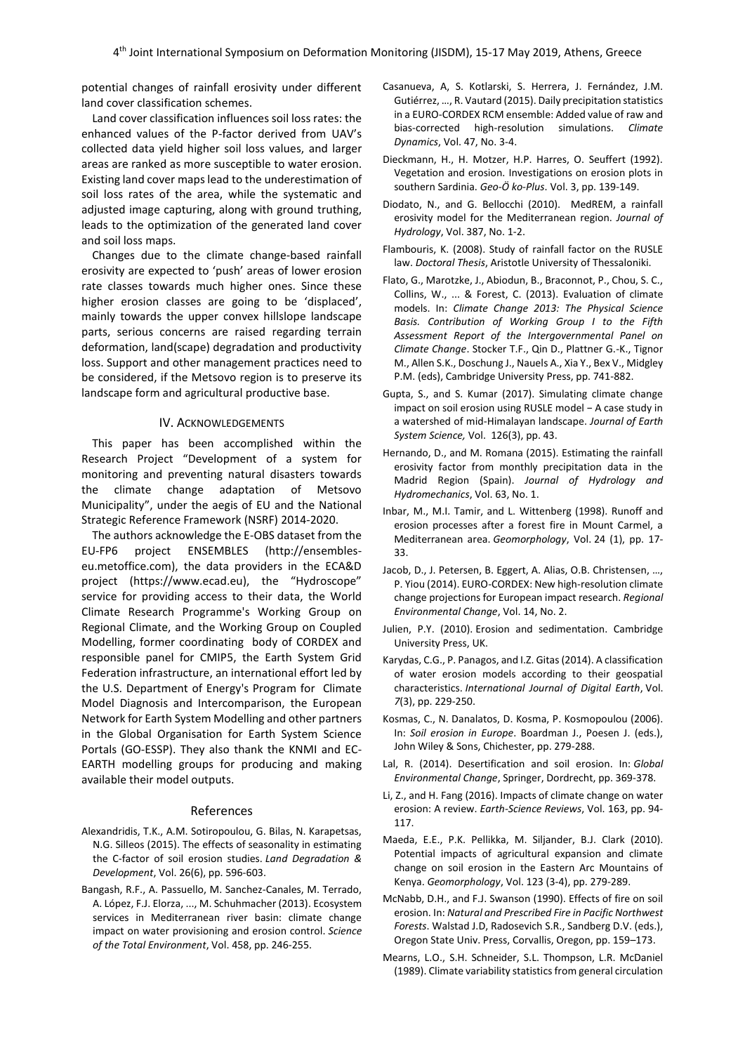potential changes of rainfall erosivity under different land cover classification schemes.

Land cover classification influences soil loss rates: the enhanced values of the P-factor derived from UAV's collected data yield higher soil loss values, and larger areas are ranked as more susceptible to water erosion. Existing land cover mapslead to the underestimation of soil loss rates of the area, while the systematic and adjusted image capturing, along with ground truthing, leads to the optimization of the generated land cover and soil loss maps.

Changes due to the climate change-based rainfall erosivity are expected to 'push' areas of lower erosion rate classes towards much higher ones. Since these higher erosion classes are going to be 'displaced', mainly towards the upper convex hillslope landscape parts, serious concerns are raised regarding terrain deformation, land(scape) degradation and productivity loss. Support and other management practices need to be considered, if the Metsovo region is to preserve its landscape form and agricultural productive base.

## IV. ACKNOWLEDGEMENTS

Τhis paper has been accomplished within the Research Project "Development of a system for monitoring and preventing natural disasters towards the climate change adaptation of Metsovo Municipality", under the aegis of EU and the National Strategic Reference Framework (NSRF) 2014-2020.

The authors acknowledge the E-OBS dataset from the EU-FP6 project ENSEMBLES (http://ensembleseu.metoffice.com), the data providers in the ECA&D project (https://www.ecad.eu), the "Hydroscope" service for providing access to their data, the World Climate Research Programme's Working Group on Regional Climate, and the Working Group on Coupled Modelling, former coordinating body of CORDEX and responsible panel for CMIP5, the Earth System Grid Federation infrastructure, an international effort led by the U.S. Department of Energy's Program for Climate Model Diagnosis and Intercomparison, the European Network for Earth System Modelling and other partners in the Global Organisation for Earth System Science Portals (GO-ESSP). They also thank the KNMI and EC-EARTH modelling groups for producing and making available their model outputs.

#### References

- Alexandridis, T.K., A.M. Sotiropoulou, G. Bilas, N. Karapetsas, N.G. Silleos (2015). The effects of seasonality in estimating the C‐factor of soil erosion studies. *Land Degradation & Development*, Vol. 26(6), pp. 596-603.
- Bangash, R.F., A. Passuello, M. Sanchez-Canales, M. Terrado, A. López, F.J. Elorza, ..., M. Schuhmacher (2013). Ecosystem services in Mediterranean river basin: climate change impact on water provisioning and erosion control. *Science of the Total Environment*, Vol. 458, pp. 246-255.
- Casanueva, A, S. Kotlarski, S. Herrera, J. Fernández, J.M. Gutiérrez, …, R. Vautard (2015). Daily precipitation statistics in a EURO-CORDEX RCM ensemble: Added value of raw and bias-corrected high-resolution simulations. *Climate Dynamics*, Vol. 47, No. 3-4.
- Dieckmann, H., H. Motzer, H.P. Harres, O. Seuffert (1992). Vegetation and erosion. Investigations on erosion plots in southern Sardinia. *Geo-Ö ko-Plus*. Vol. 3, pp. 139-149.
- Diodato, N., and G. Bellocchi (2010). MedREM, a rainfall erosivity model for the Mediterranean region. *Journal of Hydrology*, Vol. 387, No. 1-2.
- Flambouris, K. (2008). Study of rainfall factor on the RUSLE law. *Doctoral Thesis*, Aristotle University of Thessaloniki.
- Flato, G., Marotzke, J., Abiodun, B., Braconnot, P., Chou, S. C., Collins, W., ... & Forest, C. (2013). Evaluation of climate models. In: *Climate Change 2013: The Physical Science Basis. Contribution of Working Group I to the Fifth Assessment Report of the Intergovernmental Panel on Climate Change*. Stocker T.F., Qin D., Plattner G.-K., Tignor M., Allen S.K., Doschung J., Nauels A., Xia Y., Bex V., Midgley P.M. (eds), Cambridge University Press, pp. 741-882.
- Gupta, S., and S. Kumar (2017). Simulating climate change impact on soil erosion using RUSLE model − A case study in a watershed of mid-Himalayan landscape. *Journal of Earth System Science,* Vol. 126(3), pp. 43.
- Hernando, D., and M. Romana (2015). Estimating the rainfall erosivity factor from monthly precipitation data in the Madrid Region (Spain). *Journal of Hydrology and Hydromechanics*, Vol. 63, No. 1.
- Inbar, M., M.I. Tamir, and L. Wittenberg (1998). Runoff and erosion processes after a forest fire in Mount Carmel, a Mediterranean area. *Geomorphology*, Vol. 24 (1), pp. 17- 33.
- Jacob, D., J. Petersen, B. Eggert, A. Alias, O.B. Christensen, …, P. Yiou (2014). EURO-CORDEX: New high-resolution climate change projections for European impact research. *Regional Environmental Change*, Vol. 14, No. 2.
- Julien, P.Y. (2010). Erosion and sedimentation. Cambridge University Press, UK.
- Karydas, C.G., P. Panagos, and I.Z. Gitas (2014). A classification of water erosion models according to their geospatial characteristics. *International Journal of Digital Earth*, Vol. *7*(3), pp. 229-250.
- Kosmas, C., N. Danalatos, D. Kosma, P. Kosmopoulou (2006). In: *Soil erosion in Europe*. Boardman J., Poesen J. (eds.), John Wiley & Sons, Chichester, pp. 279-288.
- Lal, R. (2014). Desertification and soil erosion. In: *Global Environmental Change*, Springer, Dordrecht, pp. 369-378.
- Li, Z., and H. Fang (2016). Impacts of climate change on water erosion: A review. *Earth-Science Reviews*, Vol. 163, pp. 94- 117.
- Maeda, E.E., P.K. Pellikka, M. Siljander, B.J. Clark (2010). Potential impacts of agricultural expansion and climate change on soil erosion in the Eastern Arc Mountains of Kenya. *Geomorphology*, Vol. 123 (3-4), pp. 279-289.
- McNabb, D.H., and F.J. Swanson (1990). Effects of fire on soil erosion. In: *Natural and Prescribed Fire in Pacific Northwest Forests*. Walstad J.D, Radosevich S.R., Sandberg D.V. (eds.), Oregon State Univ. Press, Corvallis, Oregon, pp. 159–173.
- Mearns, L.O., S.H. Schneider, S.L. Thompson, L.R. McDaniel (1989). Climate variability statistics from general circulation